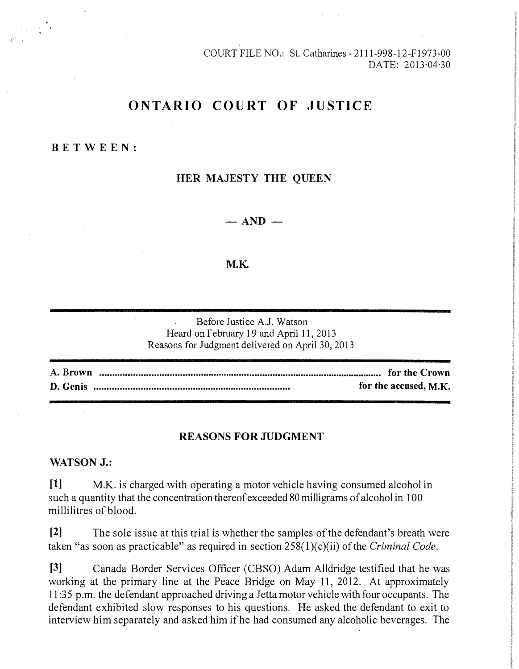COURT FILE NO.: St. Catharines -2111-998-12-F1973-00 DATE: 2013·04·30

# **ONTARIO COURT OF JUSTICE**

#### **BE TWE E N:**

## **HER MAJESTY THE QUEEN**

 $-$  AND  $-$ 

#### **M.K.**

Before Justice A.J. Watson Heard on February 19 and April 11, 2013 Reasons for Judgment delivered on April 30, 2013

**A. Brown for the Crown D. Genis** ............................................................................ **for the accused, M.K.** 

#### **REASONS FOR JUDGMENT**

### **WATSON J.:**

**[1]** M.K. is charged with operating a motor vehicle having consumed alcohol in such a quantity that the concentration thereof exceeded 80 milligrams of alcohol in 100 millilitres of blood.

**[2]** The sole issue at this trial is whether the samples of the defendant's breath were taken "as soon as practicable" as required in section 258(l)(c)(ii) of the *Criminal Code.*

**[3]** Canada Border Services Officer (CBSO) Adam Alldridge testified that he was working at the primary line at the Peace Bridge on May 11, 2012. At approximately 11 :35 p.m. the defendant approached driving a Jetta motor vehicle with four occupants. The defendant exhibited slow responses to his questions. He asked the defendant to exit to interview him separately and asked him if he had consumed any alcoholic beverages. The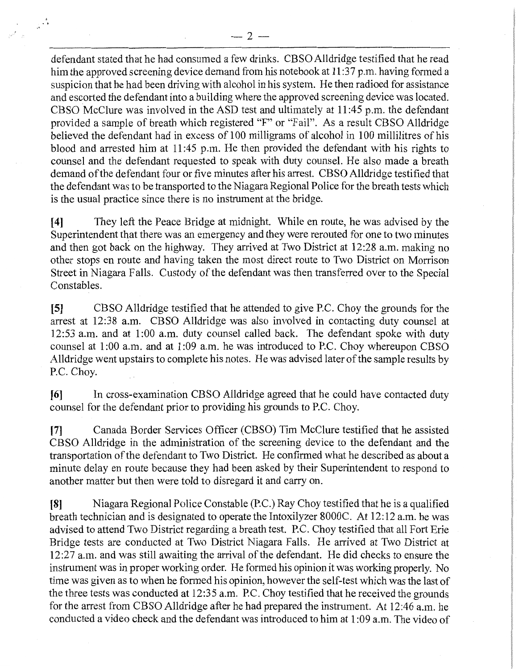defendant stated that he had consumed a few drinks. CBSO Alldridge testified that he read him the approved screening device demand from his notebook at 11:37 p.m. having formed a suspicion that he had been driving with alcohol in his system. He then radioed for assistance and escorted the defendant into a building where the approved screening device was located. CBSO McClure was involved in the ASD test and ultimately at 11 :45 p.m. the defendant provided a sample of breath which registered "F" or "Fail". As a result CBSO Alldridge believed the defendant had in excess of 100 milligrams of alcohol in 100 millilitres of his blood and arrested him at 11 :45 p.m. He then provided the defendant with his rights to counsel and the defendant requested to speak with duty counsel. He also made a breath demand of the defendant four or five minutes after his arrest. **CBSO** Alldridge testified that the defendant was to be transported to the Niagara Regional Police for the breath tests which is the usual practice since there is no instrument at the bridge.

[ **4]** They left the Peace Bridge at midnight. While en route, he was advised by the Superintendent that there was an emergency and they were rerouted for one to two minutes and then got back on the highway. They arrived at Two District at 12:28 a.m. making no other stops en route and having taken the most direct route to Two District on Morrison Street in Niagara Falls. Custody of the defendant was then transferred over to the Special Constables.

**[5]** CBSO Alldridge testified that he attended to give P.C. Choy the grounds for the arrest at 12:38 a.m. CBSO Alldridge was also involved in contacting duty counsel at 12:53 a.m. and at 1:00 a.m. duty counsel called back. The defendant spoke with duty counsel at 1:00 a.m. and at 1:09 a.m. he was introduced to P.C. Choy whereupon CBSO Alldridge went upstairs to complete his notes. He was advised later of the sample results by P.C. Choy.

**[6]** In cross-examination CBSO Alldridge agreed that he could have contacted duty counsel for the defendant prior to providing his grounds to P.C. Choy.

[7] Canada Border Services Officer (CBSO) Tim McClure testified that he assisted CBSO Alldridge in the administration of the screening device to the defendant and the transportation of the defendant to Two District. He confirmed what he described as about a minute delay en route because they had been asked by their Superintendent to respond to another matter but then were told to disregard it and carry on.

**[8]** Niagara Regional Police Constable (P.C.) Ray Choy testified that he is a qualified breath technician and is designated to operate the Intoxilyzer 8000C. At 12: 12 a.m. he was advised to attend Two District regarding a breath test. P.C. Choy testified that all Fort Erie Bridge tests are conducted at Two District Niagara Falls. He arrived at Two District at 12:27 a.m. and was still awaiting the arrival of the defendant. He did checks to ensure the instrument was in proper working order. He formed his opinion it was working properly. No time was given as to when he formed his opinion, however the self-test which was the last of the three tests was conducted at 12:35 a.m. P.C. Choy testified that he received the grounds for the arrest from CBSO Alldridge after he had prepared the instrument. At 12:46 a.m. he conducted a video check and the defendant was introduced to him at 1 :09 a.m. The video of

 $\frac{1}{2} \left( \frac{\delta}{2} \right)$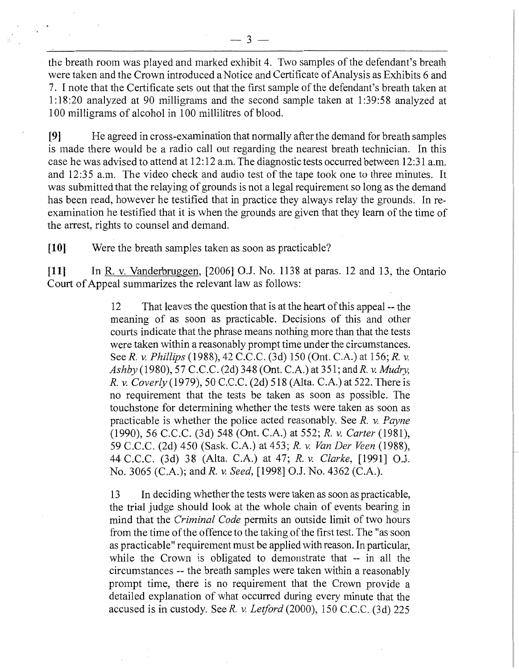the breath room was played and marked exhibit 4. Two samples of the defendant's breath were taken and the Crown introduced a Notice and Certificate of Analysis as Exhibits 6 and 7. I note that the Certificate sets out that the first sample of the defendant's breath taken at 1: 18:20 analyzed at 90 milligrams and the second sample taken at 1 :39:58 analyzed at 100 milligrams of alcohol in 100 millilitres of blood.

**[9]** He agreed in cross-examination that normally after the demand for breath samples is made there would be a radio call out regarding the nearest breath technician. In this case he was advised to attend at 12: 12 a.m. The diagnostic tests occurred between 12 :31 a.m. and 12:35 a.m. The video check and audio test of the tape took one to three minutes. It was submitted that the relaying of grounds is not a legal requirement so long as the demand has been read, however he testified that in practice they always relay the grounds. In reexamination he testified that it is when the grounds are given that they learn of the time of the arrest, rights to counsel and demand.

**[10]** Were the breath samples taken as soon as practicable?

**[11]** In R. v. Vanderbruggen, [2006] O.J. No. 1138 at paras. 12 and 13, the Ontario Court of Appeal summarizes the relevant law as follows:

> 12 That leaves the question that is at the heart of this appeal -- the meaning of as soon as practicable. Decisions of this and other courts indicate that the phrase means nothing more than that the tests were taken within a reasonably prompt time under the circumstances. See *R. v. Phillips* (1988), 42 C.C.C. (3d) 150 (Ont. C.A.) at 156; *R. v. Ashby* (1980), 57 C.C.C. (2d) 348 (Ont. C.A.) at 351; andR. v. *Mudry, R. v. Caverly* (1979), 50 C.C.C. (2d) 518 (Alta. C.A.) at 522. There is no requirement that the tests be taken as soon as possible. The touchstone for detennining whether the tests were taken as soon as practicable is whether the police acted reasonably. See *R. v. Payne*  (1990), 56 C.C.C. (3d) 548 (Ont. C.A.) at 552; *R. v. Carter* (1981), 59 C.C.C. (2d) 450 (Sask. C.A.) at 453; *R. v. Van Der Veen* (1988), 44 C.C.C. (3d) 38 (Alta. C.A.) at 47; *R. v. Clarke,* [1991] O.J. No. 3065 (C.A.); and *R. v. Seed,* [1998] O.J. No. 4362 (C.A.).

> 13 In deciding whether the tests were taken as soon as practicable, the trial judge should look at the whole chain of events bearing in mind that the *Criminal Code* permits an outside limit of two hours from the time of the offence to the taking of the first test. The "as soon as practicable" requirement must be applied with reason. In particular, while the Crown is obligated to demonstrate that -- in all the circumstances -- the breath samples were taken within a reasonably prompt time, there is no requirement that the Crown provide a detailed explanation of what occurred during every minute that the accused is in custody. See *R. v. Letford* (2000), 150 C.C.C. (3d) 225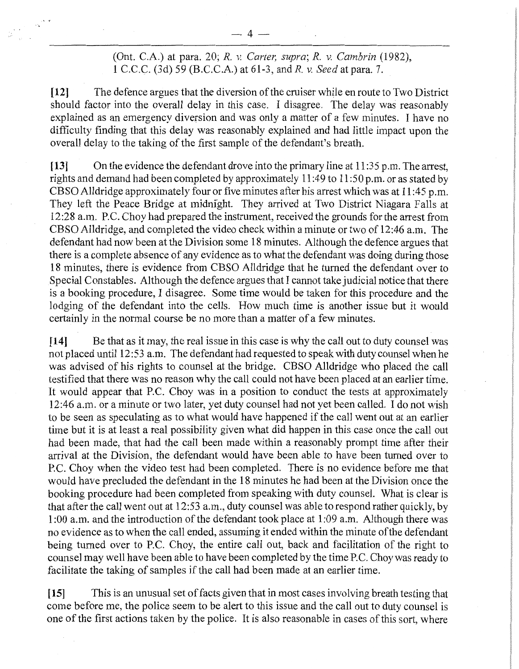(Ont. C.A.) at para. 20; *R. v. Carter, supra; R. v. Cambrin* (1982), 1 C.C.C. (3d) 59 (B.C.C.A.) at 61-3, and R. v. *Seed* at para. 7.

**[12]** The defence argues that the diversion of the cruiser while en route to Two District should factor into the overall delay in this case. I disagree. The delay was reasonably explained as an emergency diversion and was only a matter of a few minutes. I have no difficulty finding that this delay was reasonably explained and had little impact upon the overall delay to the taking of the first sample of the defendant's breath.

**[13]** On the evidence the defendant drove into the primary line at 11 :35 p.m. The arrest, rights and demand had been completed by approximately 11 :49 to 11 :50 p.m. or as stated by CBSO Alldridge approximately four or five minutes after his arrest which was at 11 :45 p.m. They left the Peace Bridge at midnight. They arrived at Two District Niagara Falls at 12:28 a.m. P.C. Choy had prepared the instrument, received the grounds for the arrest from CBSO Alldridge, and completed the video check within a minute or two of 12:46 a.m. The defendant had now been at the Division some 18 minutes. Although the defence argues that there is a complete absence of any evidence as to what the defendant was doing during those 18 minutes, there is evidence from CBSO Alldridge that he turned the defendant over to Special Constables. Although the defence argues that I cannot take judicial notice that there is a booking procedure, I disagree. Some time would be taken for this procedure and the lodging of the defendant into the cells. How much time is another issue but it would certainly in the normal course be no more than a matter of a few minutes.

**[14]** Be that as it may, the real issue in this case is why the call out to duty counsel was not placed until 12:53 a.m. The defendant had requested to speak with duty counsel when he was advised of his rights to counsel at the bridge. CBSO Alldridge who placed the call testified that there was no reason why the call could not have been placed at an earlier time. It would appear that P.C. Choy was in a position to conduct the tests at approximately 12:46 a.m. or a minute or two later, yet duty counsel had not yet been called. I do not wish to be seen as speculating as to what would have happened if the call went out at an earlier time but it is at least a real possibility given what did happen in this case once the call out had been made, that had the call been made within a reasonably prompt time after their arrival at the Division, the defendant would have been able to have been turned over to P.C. Choy when the video test had been completed. There is no evidence before me that would have precluded the defendant in the 18 minutes he had been at the Division once the booking procedure had been completed from speaking with duty counsel. What is clear is that after the call went out at 12:53 a.m., duty counsel was able to respond rather quickly, by 1 :00 a.m. and the introduction of the defendant took place at 1 :09 a.m. Although there was no evidence as to when the call ended, assuming it ended within the minute of the defendant being turned over to P.C. Choy, the entire call out, back and facilitation of the right to counsel may well have been able to have been completed by the time P.C. Choy was ready to facilitate the taking of samples if the call had been made at an earlier time.

**[15]** This is an unusual set of facts given that in most cases involving breath testing that come before me, the police seem to be alert to this issue and the call out to duty counsel is one of the first actions taken by the police. It is also reasonable in cases of this sort, where